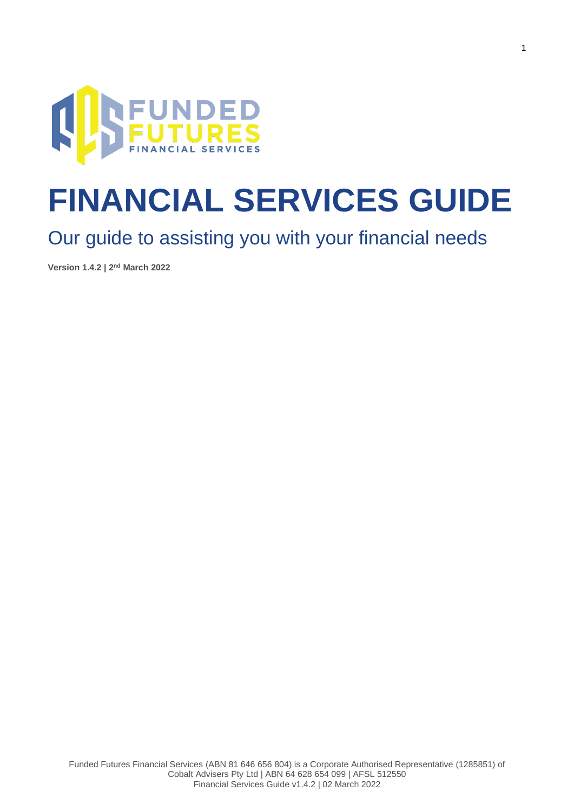

# **FINANCIAL SERVICES GUIDE**

### Our guide to assisting you with your financial needs

**Version 1.4.2 | 2 nd March 2022**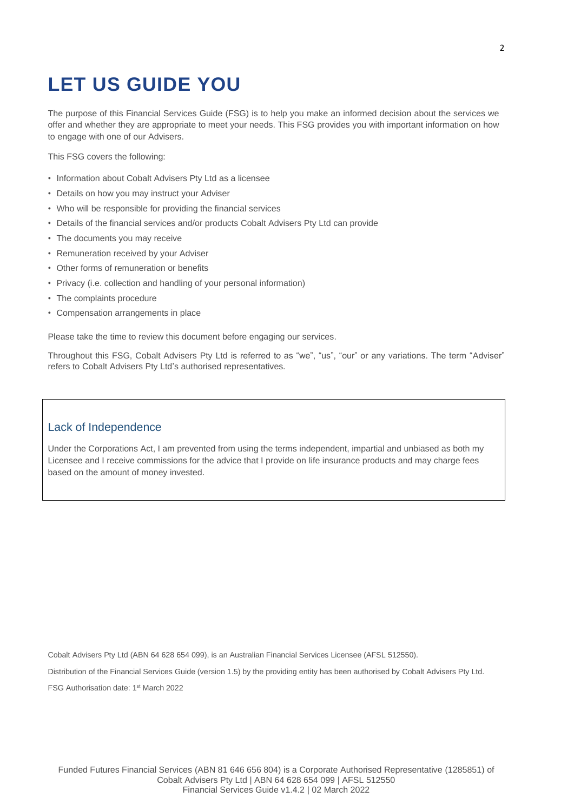## **LET US GUIDE YOU**

The purpose of this Financial Services Guide (FSG) is to help you make an informed decision about the services we offer and whether they are appropriate to meet your needs. This FSG provides you with important information on how to engage with one of our Advisers.

This FSG covers the following:

- Information about Cobalt Advisers Pty Ltd as a licensee
- Details on how you may instruct your Adviser
- Who will be responsible for providing the financial services
- Details of the financial services and/or products Cobalt Advisers Pty Ltd can provide
- The documents you may receive
- Remuneration received by your Adviser
- Other forms of remuneration or benefits
- Privacy (i.e. collection and handling of your personal information)
- The complaints procedure
- Compensation arrangements in place

Please take the time to review this document before engaging our services.

Throughout this FSG, Cobalt Advisers Pty Ltd is referred to as "we", "us", "our" or any variations. The term "Adviser" refers to Cobalt Advisers Pty Ltd's authorised representatives.

#### Lack of Independence

Under the Corporations Act, I am prevented from using the terms independent, impartial and unbiased as both my Licensee and I receive commissions for the advice that I provide on life insurance products and may charge fees based on the amount of money invested.

Cobalt Advisers Pty Ltd (ABN 64 628 654 099), is an Australian Financial Services Licensee (AFSL 512550).

Distribution of the Financial Services Guide (version 1.5) by the providing entity has been authorised by Cobalt Advisers Pty Ltd.

FSG Authorisation date: 1<sup>st</sup> March 2022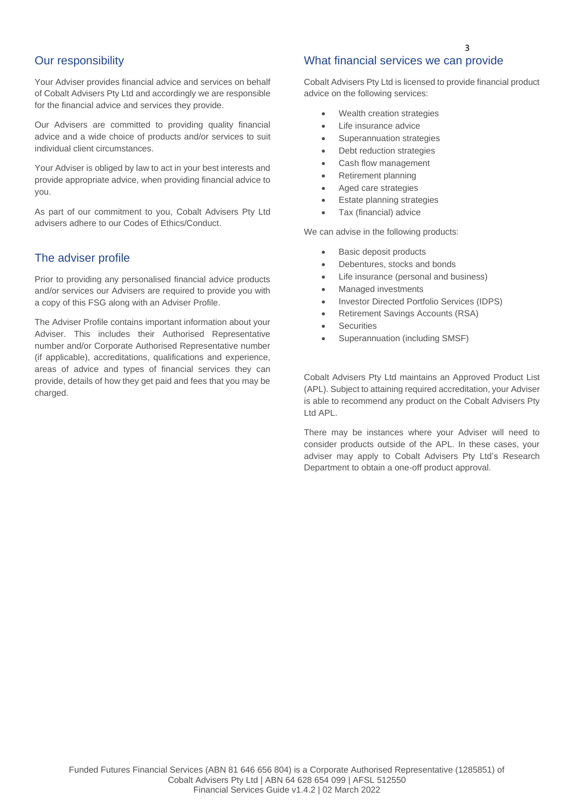#### Our responsibility

Your Adviser provides financial advice and services on behalf of Cobalt Advisers Pty Ltd and accordingly we are responsible for the financial advice and services they provide.

Our Advisers are committed to providing quality financial advice and a wide choice of products and/or services to suit individual client circumstances.

Your Adviser is obliged by law to act in your best interests and provide appropriate advice, when providing financial advice to you.

As part of our commitment to you, Cobalt Advisers Pty Ltd advisers adhere to our Codes of Ethics/Conduct.

#### The adviser profile

Prior to providing any personalised financial advice products and/or services our Advisers are required to provide you with a copy of this FSG along with an Adviser Profile.

The Adviser Profile contains important information about your Adviser. This includes their Authorised Representative number and/or Corporate Authorised Representative number (if applicable), accreditations, qualifications and experience, areas of advice and types of financial services they can provide, details of how they get paid and fees that you may be charged.

#### What financial services we can provide

Cobalt Advisers Pty Ltd is licensed to provide financial product advice on the following services:

- Wealth creation strategies
- Life insurance advice
- Superannuation strategies
- Debt reduction strategies
- Cash flow management
- Retirement planning
- Aged care strategies
- Estate planning strategies
- Tax (financial) advice

We can advise in the following products:

- Basic deposit products
- Debentures, stocks and bonds
- Life insurance (personal and business)
- Managed investments
- Investor Directed Portfolio Services (IDPS)
- Retirement Savings Accounts (RSA)
- **Securities**
- Superannuation (including SMSF)

Cobalt Advisers Pty Ltd maintains an Approved Product List (APL). Subject to attaining required accreditation, your Adviser is able to recommend any product on the Cobalt Advisers Pty Ltd APL.

There may be instances where your Adviser will need to consider products outside of the APL. In these cases, your adviser may apply to Cobalt Advisers Pty Ltd's Research Department to obtain a one-off product approval.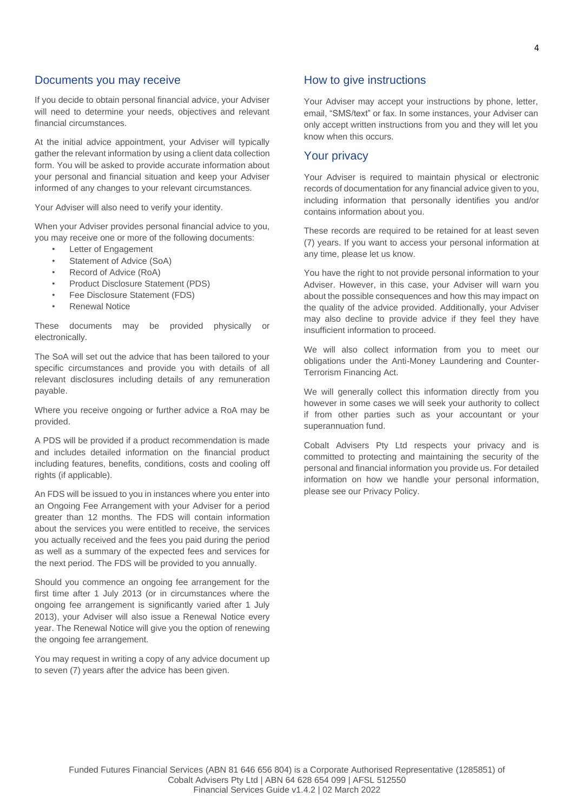#### Documents you may receive

If you decide to obtain personal financial advice, your Adviser will need to determine your needs, objectives and relevant financial circumstances.

At the initial advice appointment, your Adviser will typically gather the relevant information by using a client data collection form. You will be asked to provide accurate information about your personal and financial situation and keep your Adviser informed of any changes to your relevant circumstances.

Your Adviser will also need to verify your identity.

When your Adviser provides personal financial advice to you, you may receive one or more of the following documents:

- **Letter of Engagement**
- Statement of Advice (SoA)
- Record of Advice (RoA)
- Product Disclosure Statement (PDS)
- Fee Disclosure Statement (FDS)
- Renewal Notice

These documents may be provided physically or electronically.

The SoA will set out the advice that has been tailored to your specific circumstances and provide you with details of all relevant disclosures including details of any remuneration payable.

Where you receive ongoing or further advice a RoA may be provided.

A PDS will be provided if a product recommendation is made and includes detailed information on the financial product including features, benefits, conditions, costs and cooling off rights (if applicable).

An FDS will be issued to you in instances where you enter into an Ongoing Fee Arrangement with your Adviser for a period greater than 12 months. The FDS will contain information about the services you were entitled to receive, the services you actually received and the fees you paid during the period as well as a summary of the expected fees and services for the next period. The FDS will be provided to you annually.

Should you commence an ongoing fee arrangement for the first time after 1 July 2013 (or in circumstances where the ongoing fee arrangement is significantly varied after 1 July 2013), your Adviser will also issue a Renewal Notice every year. The Renewal Notice will give you the option of renewing the ongoing fee arrangement.

You may request in writing a copy of any advice document up to seven (7) years after the advice has been given.

#### How to give instructions

Your Adviser may accept your instructions by phone, letter, email, "SMS/text" or fax. In some instances, your Adviser can only accept written instructions from you and they will let you know when this occurs.

#### Your privacy

Your Adviser is required to maintain physical or electronic records of documentation for any financial advice given to you, including information that personally identifies you and/or contains information about you.

These records are required to be retained for at least seven (7) years. If you want to access your personal information at any time, please let us know.

You have the right to not provide personal information to your Adviser. However, in this case, your Adviser will warn you about the possible consequences and how this may impact on the quality of the advice provided. Additionally, your Adviser may also decline to provide advice if they feel they have insufficient information to proceed.

We will also collect information from you to meet our obligations under the Anti-Money Laundering and Counter-Terrorism Financing Act.

We will generally collect this information directly from you however in some cases we will seek your authority to collect if from other parties such as your accountant or your superannuation fund.

Cobalt Advisers Pty Ltd respects your privacy and is committed to protecting and maintaining the security of the personal and financial information you provide us. For detailed information on how we handle your personal information, please see our Privacy Policy.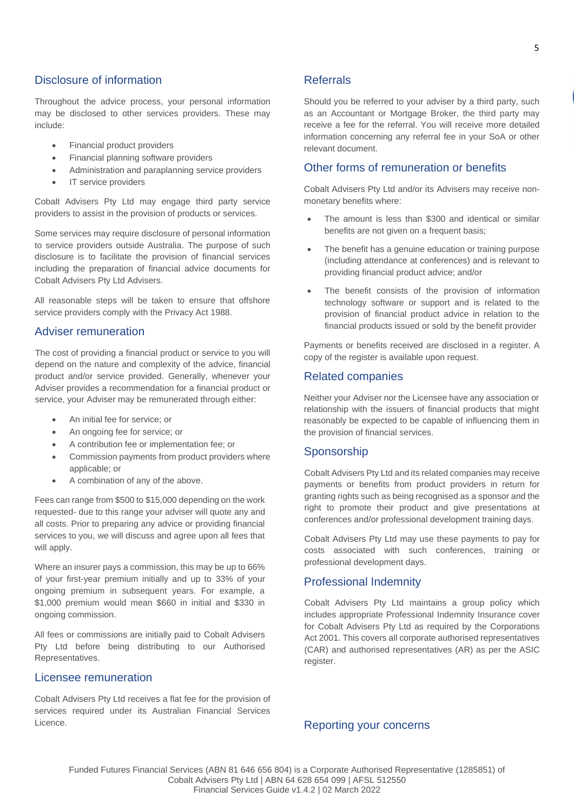Throughout the advice process, your personal information may be disclosed to other services providers. These may include:

- Financial product providers
- Financial planning software providers
- Administration and paraplanning service providers
- IT service providers

Cobalt Advisers Pty Ltd may engage third party service providers to assist in the provision of products or services.

Some services may require disclosure of personal information to service providers outside Australia. The purpose of such disclosure is to facilitate the provision of financial services including the preparation of financial advice documents for Cobalt Advisers Pty Ltd Advisers.

All reasonable steps will be taken to ensure that offshore service providers comply with the Privacy Act 1988.

#### Adviser remuneration

The cost of providing a financial product or service to you will depend on the nature and complexity of the advice, financial product and/or service provided. Generally, whenever your Adviser provides a recommendation for a financial product or service, your Adviser may be remunerated through either:

- An initial fee for service; or
- An ongoing fee for service; or
- A contribution fee or implementation fee; or
- Commission payments from product providers where applicable; or
- A combination of any of the above.

Fees can range from \$500 to \$15,000 depending on the work requested- due to this range your adviser will quote any and all costs. Prior to preparing any advice or providing financial services to you, we will discuss and agree upon all fees that will apply.

Where an insurer pays a commission, this may be up to 66% of your first-year premium initially and up to 33% of your ongoing premium in subsequent years. For example, a \$1,000 premium would mean \$660 in initial and \$330 in ongoing commission.

All fees or commissions are initially paid to Cobalt Advisers Pty Ltd before being distributing to our Authorised Representatives.

#### Licensee remuneration

Cobalt Advisers Pty Ltd receives a flat fee for the provision of services required under its Australian Financial Services Licence.

#### Referrals

Should you be referred to your adviser by a third party, such as an Accountant or Mortgage Broker, the third party may receive a fee for the referral. You will receive more detailed information concerning any referral fee in your SoA or other relevant document.

#### Other forms of remuneration or benefits

Cobalt Advisers Pty Ltd and/or its Advisers may receive nonmonetary benefits where:

- The amount is less than \$300 and identical or similar benefits are not given on a frequent basis;
- The benefit has a genuine education or training purpose (including attendance at conferences) and is relevant to providing financial product advice; and/or
- The benefit consists of the provision of information technology software or support and is related to the provision of financial product advice in relation to the financial products issued or sold by the benefit provider

Payments or benefits received are disclosed in a register. A copy of the register is available upon request.

#### Related companies

Neither your Adviser nor the Licensee have any association or relationship with the issuers of financial products that might reasonably be expected to be capable of influencing them in the provision of financial services.

#### Sponsorship

Cobalt Advisers Pty Ltd and its related companies may receive payments or benefits from product providers in return for granting rights such as being recognised as a sponsor and the right to promote their product and give presentations at conferences and/or professional development training days.

Cobalt Advisers Pty Ltd may use these payments to pay for costs associated with such conferences, training or professional development days.

#### Professional Indemnity

Cobalt Advisers Pty Ltd maintains a group policy which includes appropriate Professional Indemnity Insurance cover for Cobalt Advisers Pty Ltd as required by the Corporations Act 2001. This covers all corporate authorised representatives (CAR) and authorised representatives (AR) as per the ASIC register.

#### Reporting your concerns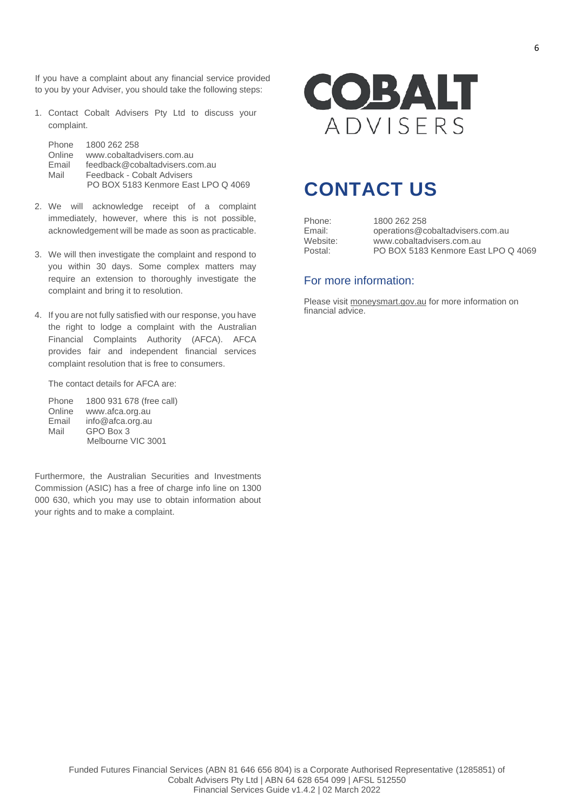If you have a complaint about any financial service provided to you by your Adviser, you should take the following steps:

1. Contact Cobalt Advisers Pty Ltd to discuss your complaint.

Phone 1800 262 258 Online www.cobaltadvisers.com.au Email feedback@cobaltadvisers.com.au Mail Feedback - Cobalt Advisers PO BOX 5183 Kenmore East LPO Q 4069

- 2. We will acknowledge receipt of a complaint immediately, however, where this is not possible, acknowledgement will be made as soon as practicable.
- 3. We will then investigate the complaint and respond to you within 30 days. Some complex matters may require an extension to thoroughly investigate the complaint and bring it to resolution.
- 4. If you are not fully satisfied with our response, you have the right to lodge a complaint with the Australian Financial Complaints Authority (AFCA). AFCA provides fair and independent financial services complaint resolution that is free to consumers.

The contact details for AFCA are:

| Phone  | 1800 931 678 (free call) |
|--------|--------------------------|
| Online | www.afca.org.au          |
| Email  | info@afca.org.au         |
| Mail   | GPO Box 3                |
|        | Melbourne VIC 3001       |

Furthermore, the Australian Securities and Investments Commission (ASIC) has a free of charge info line on 1300 000 630, which you may use to obtain information about your rights and to make a complaint.



### **CONTACT US**

Phone: 1800 262 258<br>
Fmail: 00erations@c Email: operations@cobaltadvisers.com.au www.cobaltadvisers.com.au Postal: PO BOX 5183 Kenmore East LPO Q 4069

#### For more information:

Please visit moneysmart.gov.au for more information on financial advice.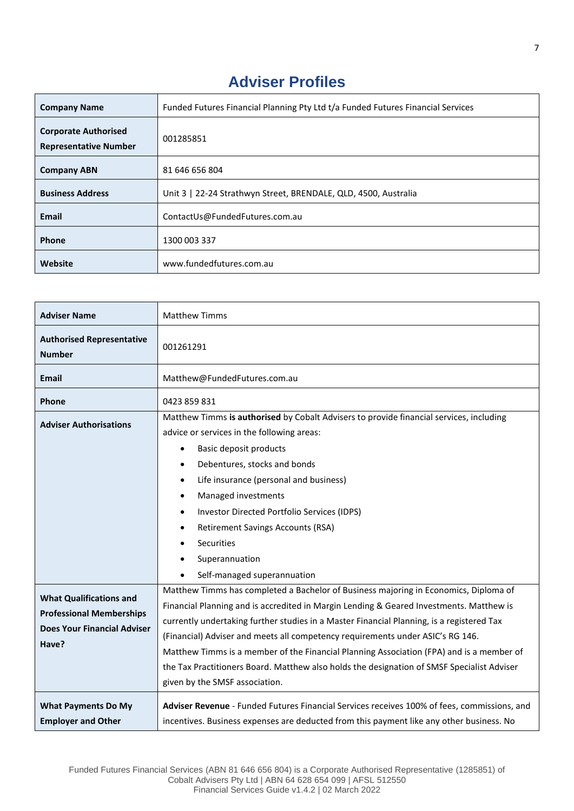### **Adviser Profiles**

| <b>Company Name</b>                                         | Funded Futures Financial Planning Pty Ltd t/a Funded Futures Financial Services |
|-------------------------------------------------------------|---------------------------------------------------------------------------------|
| <b>Corporate Authorised</b><br><b>Representative Number</b> | 001285851                                                                       |
| <b>Company ABN</b>                                          | 81 646 656 804                                                                  |
| <b>Business Address</b>                                     | Unit 3   22-24 Strathwyn Street, BRENDALE, QLD, 4500, Australia                 |
| <b>Email</b>                                                | ContactUs@FundedFutures.com.au                                                  |
| Phone                                                       | 1300 003 337                                                                    |
| Website                                                     | www.fundedfutures.com.au                                                        |

| <b>Adviser Name</b>                                                                                              | <b>Matthew Timms</b>                                                                                                                                                                                                                                                                                                                                                                                                                                                                                                                                                                       |
|------------------------------------------------------------------------------------------------------------------|--------------------------------------------------------------------------------------------------------------------------------------------------------------------------------------------------------------------------------------------------------------------------------------------------------------------------------------------------------------------------------------------------------------------------------------------------------------------------------------------------------------------------------------------------------------------------------------------|
| <b>Authorised Representative</b><br><b>Number</b>                                                                | 001261291                                                                                                                                                                                                                                                                                                                                                                                                                                                                                                                                                                                  |
| <b>Email</b>                                                                                                     | Matthew@FundedFutures.com.au                                                                                                                                                                                                                                                                                                                                                                                                                                                                                                                                                               |
| <b>Phone</b>                                                                                                     | 0423 859 831                                                                                                                                                                                                                                                                                                                                                                                                                                                                                                                                                                               |
| <b>Adviser Authorisations</b>                                                                                    | Matthew Timms is authorised by Cobalt Advisers to provide financial services, including<br>advice or services in the following areas:<br>Basic deposit products<br>$\bullet$<br>Debentures, stocks and bonds<br>$\bullet$<br>Life insurance (personal and business)<br>$\bullet$<br>Managed investments<br>$\bullet$<br>Investor Directed Portfolio Services (IDPS)<br>$\bullet$<br><b>Retirement Savings Accounts (RSA)</b><br><b>Securities</b><br>Superannuation<br>Self-managed superannuation                                                                                         |
| <b>What Qualifications and</b><br><b>Professional Memberships</b><br><b>Does Your Financial Adviser</b><br>Have? | Matthew Timms has completed a Bachelor of Business majoring in Economics, Diploma of<br>Financial Planning and is accredited in Margin Lending & Geared Investments. Matthew is<br>currently undertaking further studies in a Master Financial Planning, is a registered Tax<br>(Financial) Adviser and meets all competency requirements under ASIC's RG 146.<br>Matthew Timms is a member of the Financial Planning Association (FPA) and is a member of<br>the Tax Practitioners Board. Matthew also holds the designation of SMSF Specialist Adviser<br>given by the SMSF association. |
| <b>What Payments Do My</b><br><b>Employer and Other</b>                                                          | Adviser Revenue - Funded Futures Financial Services receives 100% of fees, commissions, and<br>incentives. Business expenses are deducted from this payment like any other business. No                                                                                                                                                                                                                                                                                                                                                                                                    |